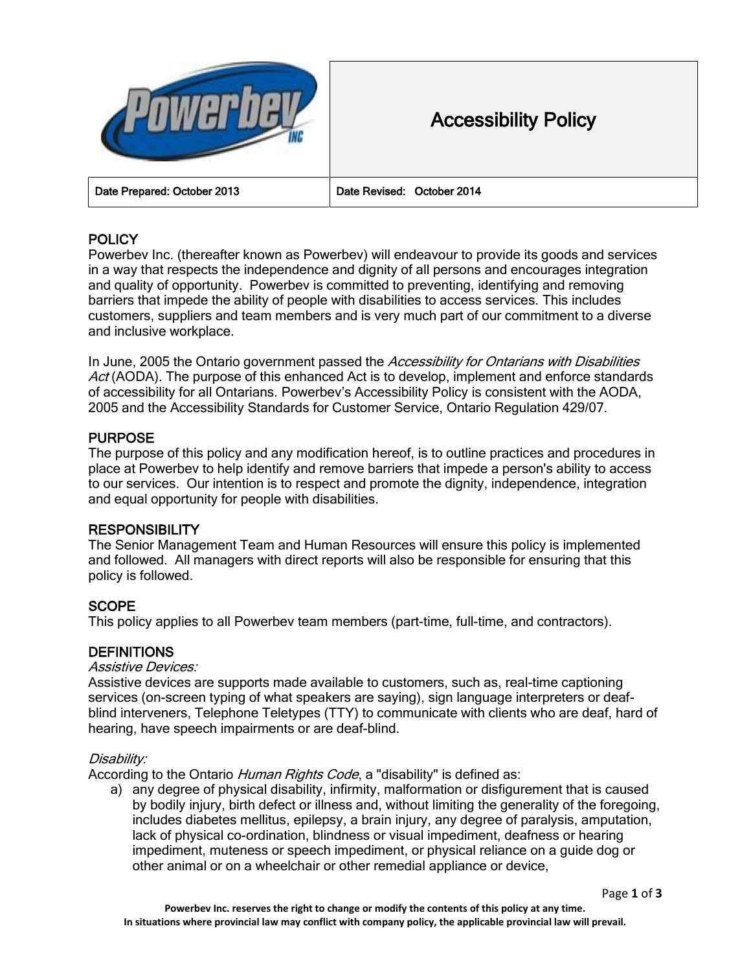

# Accessibility Policy

Date Prepared: October 2013 Date Revised: October 2014

## **POLICY**

Powerbev Inc. (thereafter known as Powerbev) will endeavour to provide its goods and services in a way that respects the independence and dignity of all persons and encourages integration and quality of opportunity. Powerbev is committed to preventing, identifying and removing barriers that impede the ability of people with disabilities to access services. This includes customers, suppliers and team members and is very much part of our commitment to a diverse and inclusive workplace.

In June, 2005 the Ontario government passed the Accessibility for Ontarians with Disabilities Act (AODA). The purpose of this enhanced Act is to develop, implement and enforce standards of accessibility for all Ontarians. Powerbev's Accessibility Policy is consistent with the AODA, 2005 and the Accessibility Standards for Customer Service, Ontario Regulation 429/07.

## PURPOSE

The purpose of this policy and any modification hereof, is to outline practices and procedures in place at Powerbev to help identify and remove barriers that impede a person's ability to access to our services. Our intention is to respect and promote the dignity, independence, integration and equal opportunity for people with disabilities.

## **RESPONSIBILITY**

The Senior Management Team and Human Resources will ensure this policy is implemented and followed. All managers with direct reports will also be responsible for ensuring that this policy is followed.

## **SCOPE**

This policy applies to all Powerbev team members (part-time, full-time, and contractors).

## **DEFINITIONS**

#### Assistive Devices:

Assistive devices are supports made available to customers, such as, real-time captioning services (on-screen typing of what speakers are saying), sign language interpreters or deafblind interveners, Telephone Teletypes (TTY) to communicate with clients who are deaf, hard of hearing, have speech impairments or are deaf-blind.

#### Disability:

According to the Ontario *Human Rights Code*, a "disability" is defined as:

a) any degree of physical disability, infirmity, malformation or disfigurement that is caused by bodily injury, birth defect or illness and, without limiting the generality of the foregoing, includes diabetes mellitus, epilepsy, a brain injury, any degree of paralysis, amputation, lack of physical co-ordination, blindness or visual impediment, deafness or hearing impediment, muteness or speech impediment, or physical reliance on a guide dog or other animal or on a wheelchair or other remedial appliance or device,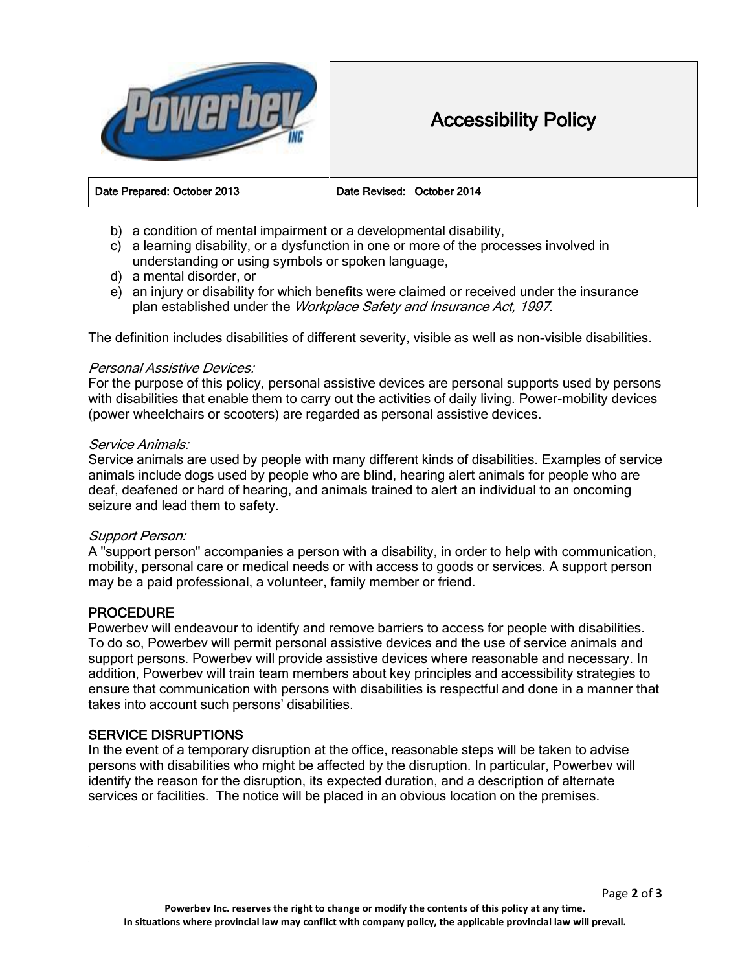

## Accessibility Policy

| Date Revised: October 2014 |
|----------------------------|
|----------------------------|

- b) a condition of mental impairment or a developmental disability,
- c) a learning disability, or a dysfunction in one or more of the processes involved in understanding or using symbols or spoken language,
- d) a mental disorder, or
- e) an injury or disability for which benefits were claimed or received under the insurance plan established under the Workplace Safety and Insurance Act, 1997.

The definition includes disabilities of different severity, visible as well as non-visible disabilities.

#### Personal Assistive Devices:

For the purpose of this policy, personal assistive devices are personal supports used by persons with disabilities that enable them to carry out the activities of daily living. Power-mobility devices (power wheelchairs or scooters) are regarded as personal assistive devices.

#### Service Animals:

Service animals are used by people with many different kinds of disabilities. Examples of service animals include dogs used by people who are blind, hearing alert animals for people who are deaf, deafened or hard of hearing, and animals trained to alert an individual to an oncoming seizure and lead them to safety.

#### Support Person:

A "support person" accompanies a person with a disability, in order to help with communication, mobility, personal care or medical needs or with access to goods or services. A support person may be a paid professional, a volunteer, family member or friend.

## PROCEDURE

Powerbev will endeavour to identify and remove barriers to access for people with disabilities. To do so, Powerbev will permit personal assistive devices and the use of service animals and support persons. Powerbev will provide assistive devices where reasonable and necessary. In addition, Powerbev will train team members about key principles and accessibility strategies to ensure that communication with persons with disabilities is respectful and done in a manner that takes into account such persons' disabilities.

## SERVICE DISRUPTIONS

In the event of a temporary disruption at the office, reasonable steps will be taken to advise persons with disabilities who might be affected by the disruption. In particular, Powerbev will identify the reason for the disruption, its expected duration, and a description of alternate services or facilities. The notice will be placed in an obvious location on the premises.